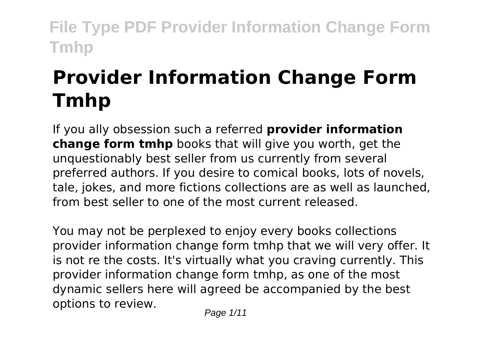# **Provider Information Change Form Tmhp**

If you ally obsession such a referred **provider information change form tmhp** books that will give you worth, get the unquestionably best seller from us currently from several preferred authors. If you desire to comical books, lots of novels, tale, jokes, and more fictions collections are as well as launched, from best seller to one of the most current released.

You may not be perplexed to enjoy every books collections provider information change form tmhp that we will very offer. It is not re the costs. It's virtually what you craving currently. This provider information change form tmhp, as one of the most dynamic sellers here will agreed be accompanied by the best options to review.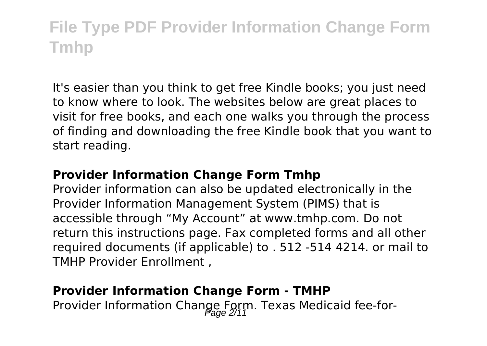It's easier than you think to get free Kindle books; you just need to know where to look. The websites below are great places to visit for free books, and each one walks you through the process of finding and downloading the free Kindle book that you want to start reading.

#### **Provider Information Change Form Tmhp**

Provider information can also be updated electronically in the Provider Information Management System (PIMS) that is accessible through "My Account" at www.tmhp.com. Do not return this instructions page. Fax completed forms and all other required documents (if applicable) to . 512 -514 4214. or mail to TMHP Provider Enrollment ,

#### **Provider Information Change Form - TMHP**

Provider Information Change Form. Texas Medicaid fee-for-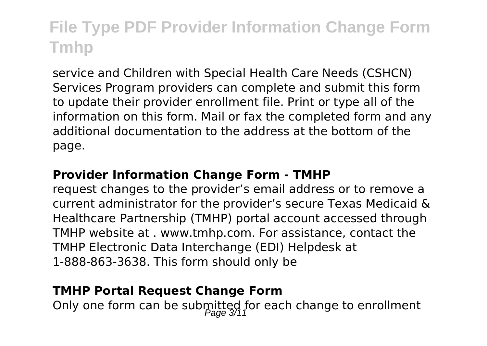service and Children with Special Health Care Needs (CSHCN) Services Program providers can complete and submit this form to update their provider enrollment file. Print or type all of the information on this form. Mail or fax the completed form and any additional documentation to the address at the bottom of the page.

#### **Provider Information Change Form - TMHP**

request changes to the provider's email address or to remove a current administrator for the provider's secure Texas Medicaid & Healthcare Partnership (TMHP) portal account accessed through TMHP website at . www.tmhp.com. For assistance, contact the TMHP Electronic Data Interchange (EDI) Helpdesk at 1-888-863-3638. This form should only be

#### **TMHP Portal Request Change Form**

Only one form can be submitted for each change to enrollment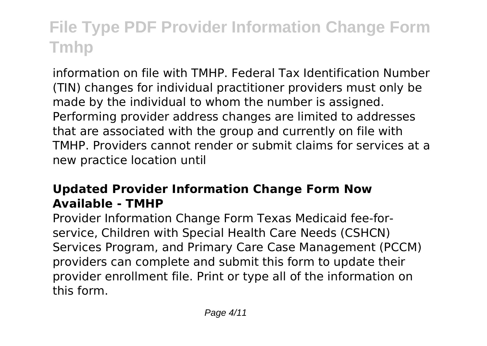information on file with TMHP. Federal Tax Identification Number (TIN) changes for individual practitioner providers must only be made by the individual to whom the number is assigned. Performing provider address changes are limited to addresses that are associated with the group and currently on file with TMHP. Providers cannot render or submit claims for services at a new practice location until

### **Updated Provider Information Change Form Now Available - TMHP**

Provider Information Change Form Texas Medicaid fee-forservice, Children with Special Health Care Needs (CSHCN) Services Program, and Primary Care Case Management (PCCM) providers can complete and submit this form to update their provider enrollment file. Print or type all of the information on this form.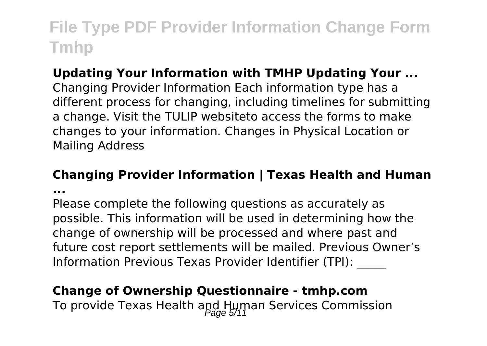### **Updating Your Information with TMHP Updating Your ...**

Changing Provider Information Each information type has a different process for changing, including timelines for submitting a change. Visit the TULIP websiteto access the forms to make changes to your information. Changes in Physical Location or Mailing Address

### **Changing Provider Information | Texas Health and Human**

**...**

Please complete the following questions as accurately as possible. This information will be used in determining how the change of ownership will be processed and where past and future cost report settlements will be mailed. Previous Owner's Information Previous Texas Provider Identifier (TPI): \_\_\_\_\_

### **Change of Ownership Questionnaire - tmhp.com**

To provide Texas Health and Human Services Commission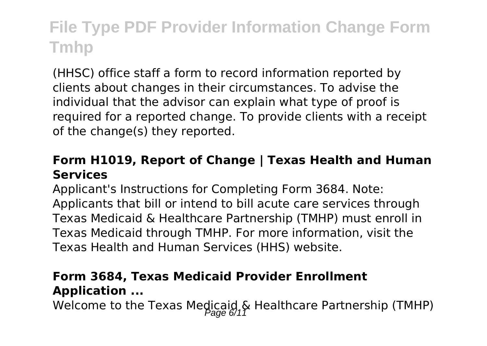(HHSC) office staff a form to record information reported by clients about changes in their circumstances. To advise the individual that the advisor can explain what type of proof is required for a reported change. To provide clients with a receipt of the change(s) they reported.

#### **Form H1019, Report of Change | Texas Health and Human Services**

Applicant's Instructions for Completing Form 3684. Note: Applicants that bill or intend to bill acute care services through Texas Medicaid & Healthcare Partnership (TMHP) must enroll in Texas Medicaid through TMHP. For more information, visit the Texas Health and Human Services (HHS) website.

#### **Form 3684, Texas Medicaid Provider Enrollment Application ...**

Welcome to the Texas Medicaid & Healthcare Partnership (TMHP)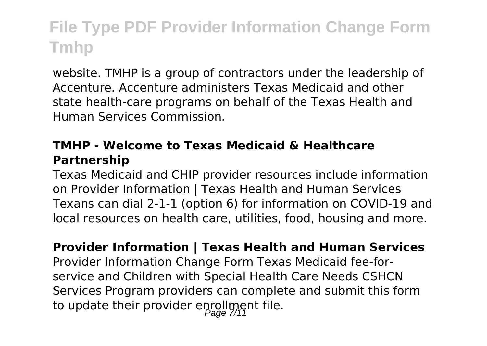website. TMHP is a group of contractors under the leadership of Accenture. Accenture administers Texas Medicaid and other state health-care programs on behalf of the Texas Health and Human Services Commission.

### **TMHP - Welcome to Texas Medicaid & Healthcare Partnership**

Texas Medicaid and CHIP provider resources include information on Provider Information | Texas Health and Human Services Texans can dial 2-1-1 (option 6) for information on COVID-19 and local resources on health care, utilities, food, housing and more.

**Provider Information | Texas Health and Human Services** Provider Information Change Form Texas Medicaid fee-forservice and Children with Special Health Care Needs CSHCN Services Program providers can complete and submit this form to update their provider enrollment file.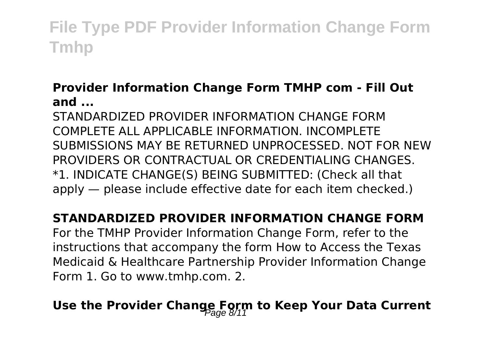### **Provider Information Change Form TMHP com - Fill Out and ...**

STANDARDIZED PROVIDER INFORMATION CHANGE FORM COMPLETE ALL APPLICABLE INFORMATION. INCOMPLETE SUBMISSIONS MAY BE RETURNED UNPROCESSED. NOT FOR NEW PROVIDERS OR CONTRACTUAL OR CREDENTIALING CHANGES. \*1. INDICATE CHANGE(S) BEING SUBMITTED: (Check all that apply — please include effective date for each item checked.)

### **STANDARDIZED PROVIDER INFORMATION CHANGE FORM**

For the TMHP Provider Information Change Form, refer to the instructions that accompany the form How to Access the Texas Medicaid & Healthcare Partnership Provider Information Change Form 1. Go to www.tmhp.com. 2.

# **Use the Provider Change Form to Keep Your Data Current**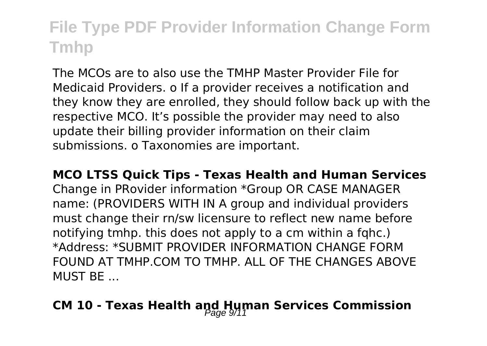The MCOs are to also use the TMHP Master Provider File for Medicaid Providers. o If a provider receives a notification and they know they are enrolled, they should follow back up with the respective MCO. It's possible the provider may need to also update their billing provider information on their claim submissions. o Taxonomies are important.

#### **MCO LTSS Quick Tips - Texas Health and Human Services**

Change in PRovider information \*Group OR CASE MANAGER name: (PROVIDERS WITH IN A group and individual providers must change their rn/sw licensure to reflect new name before notifying tmhp. this does not apply to a cm within a fqhc.) \*Address: \*SUBMIT PROVIDER INFORMATION CHANGE FORM FOUND AT TMHP.COM TO TMHP. ALL OF THE CHANGES ABOVE MUST BE ...

### **CM 10 - Texas Health and Human Services Commission**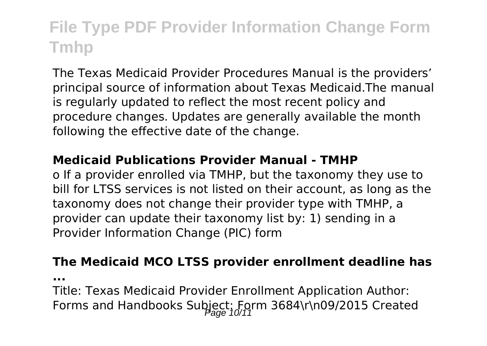The Texas Medicaid Provider Procedures Manual is the providers' principal source of information about Texas Medicaid.The manual is regularly updated to reflect the most recent policy and procedure changes. Updates are generally available the month following the effective date of the change.

#### **Medicaid Publications Provider Manual - TMHP**

o If a provider enrolled via TMHP, but the taxonomy they use to bill for LTSS services is not listed on their account, as long as the taxonomy does not change their provider type with TMHP, a provider can update their taxonomy list by: 1) sending in a Provider Information Change (PIC) form

#### **The Medicaid MCO LTSS provider enrollment deadline has**

**...**

Title: Texas Medicaid Provider Enrollment Application Author: Forms and Handbooks Subject: Form 3684\r\n09/2015 Created